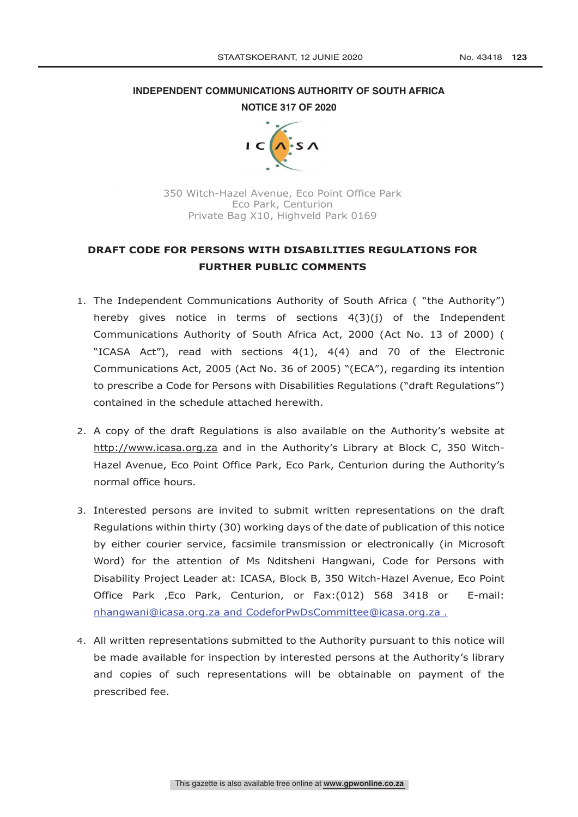# **INDEPENDENT COMMUNICATIONS AUTHORITY OF SOUTH AFRICA NOTICE 317 OF 2020**



350 Witch-Hazel Avenue, Eco Point Office Park Eco Park, Centurion Private Bag X10, Highveld Park 0169

# **DRAFT CODE FOR PERSONS WITH DISABILITIES REGULATIONS FOR FURTHER PUBLIC COMMENTS**

- 1. The Independent Communications Authority of South Africa ( "the Authority") hereby gives notice in terms of sections  $4(3)(i)$  of the Independent Communications Authority of South Africa Act, 2000 (Act No. 13 of 2000) ( "ICASA Act"), read with sections  $4(1)$ ,  $4(4)$  and 70 of the Electronic Communications Act, 2005 (Act No. 36 of 2005) "(ECA"), regarding its intention to prescribe a Code for Persons with Disabilities Regulations ("draft Regulations") contained in the schedule attached herewith.
- 2. A copy of the draft Regulations is also available on the Authority's website at http://www.icasa.org.za and in the Authority's Library at Block C, 350 Witch-Hazel Avenue, Eco Point Office Park, Eco Park, Centurion during the Authority's normal office hours.
- 3. Interested persons are invited to submit written representations on the draft Regulations within thirty (30) working days of the date of publication of this notice by either courier service, facsimile transmission or electronically (in Microsoft Word) for the attention of Ms Nditsheni Hangwani, Code for Persons with Disability Project Leader at: ICASA, Block B, 350 Witch-Hazel Avenue, Eco Point Office Park ,Eco Park, Centurion, or Fax:(012) 568 3418 or E-mail: nhangwani@icasa.org.za and CodeforPwDsCommittee@icasa.org.za .
- 4. All written representations submitted to the Authority pursuant to this notice will be made available for inspection by interested persons at the Authority's library and copies of such representations will be obtainable on payment of the prescribed fee.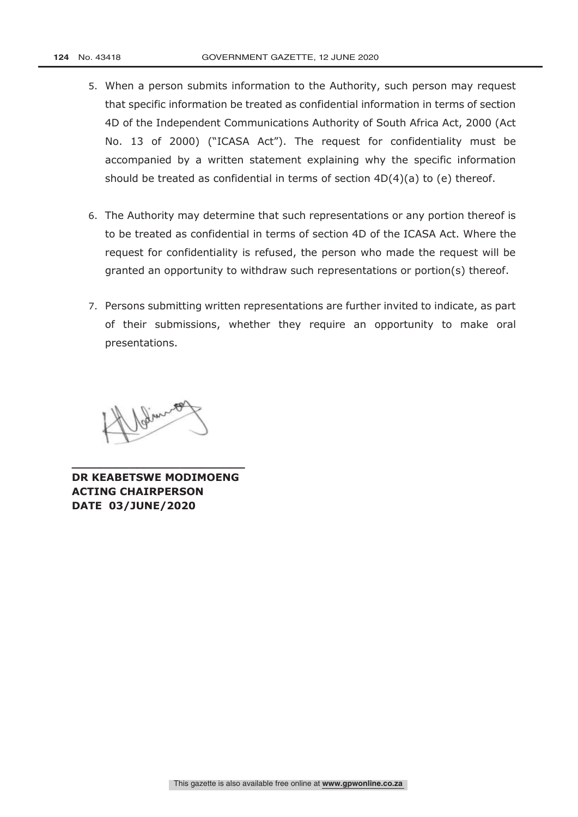- 5. When a person submits information to the Authority, such person may request that specific information be treated as confidential information in terms of section 4D of the Independent Communications Authority of South Africa Act, 2000 (Act No. 13 of 2000) ("ICASA Act"). The request for confidentiality must be accompanied by a written statement explaining why the specific information should be treated as confidential in terms of section 4D(4)(a) to (e) thereof.
- 6. The Authority may determine that such representations or any portion thereof is to be treated as confidential in terms of section 4D of the ICASA Act. Where the request for confidentiality is refused, the person who made the request will be granted an opportunity to withdraw such representations or portion(s) thereof.
- 7. Persons submitting written representations are further invited to indicate, as part of their submissions, whether they require an opportunity to make oral presentations.

John 1891

**DR KEABETSWE MODIMOENG ACTING CHAIRPERSON DATE 03/JUNE/2020** 

**\_\_\_\_\_\_\_\_\_\_\_\_\_\_\_\_\_\_\_\_\_\_\_\_**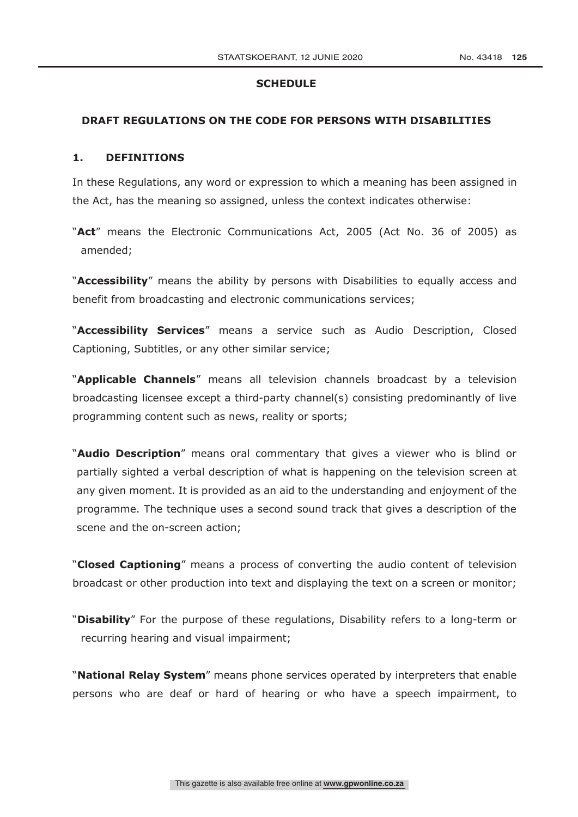### **SCHEDULE**

#### **DRAFT REGULATIONS ON THE CODE FOR PERSONS WITH DISABILITIES**

#### **1. DEFINITIONS**

In these Regulations, any word or expression to which a meaning has been assigned in the Act, has the meaning so assigned, unless the context indicates otherwise:

"**Act**" means the Electronic Communications Act, 2005 (Act No. 36 of 2005) as amended;

"**Accessibility**" means the ability by persons with Disabilities to equally access and benefit from broadcasting and electronic communications services;

"**Accessibility Services**" means a service such as Audio Description, Closed Captioning, Subtitles, or any other similar service;

"**Applicable Channels**" means all television channels broadcast by a television broadcasting licensee except a third-party channel(s) consisting predominantly of live programming content such as news, reality or sports;

"**Audio Description**" means oral commentary that gives a viewer who is blind or partially sighted a verbal description of what is happening on the television screen at any given moment. It is provided as an aid to the understanding and enjoyment of the programme. The technique uses a second sound track that gives a description of the scene and the on-screen action;

"**Closed Captioning**" means a process of converting the audio content of television broadcast or other production into text and displaying the text on a screen or monitor;

"**Disability**" For the purpose of these regulations, Disability refers to a long-term or recurring hearing and visual impairment;

"**National Relay System**" means phone services operated by interpreters that enable persons who are deaf or hard of hearing or who have a speech impairment, to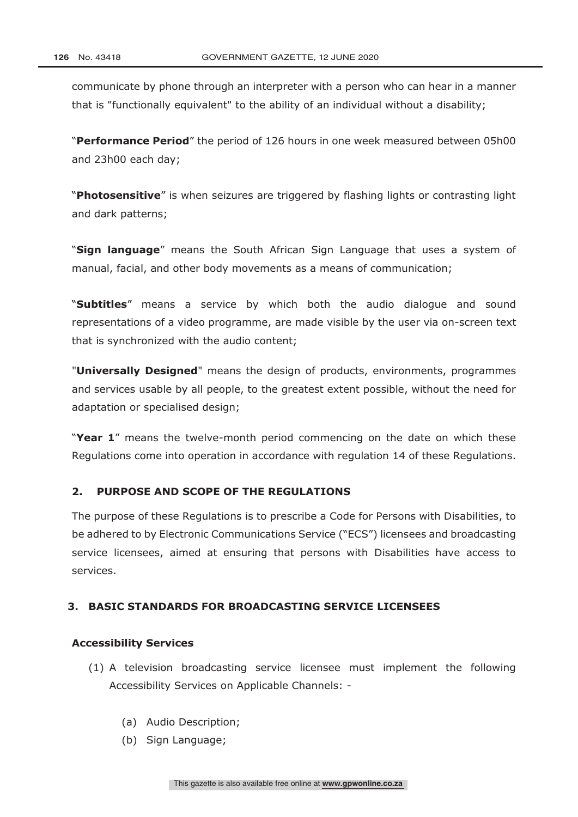communicate by phone through an interpreter with a person who can hear in a manner that is "functionally equivalent" to the ability of an individual without a disability;

"**Performance Period**" the period of 126 hours in one week measured between 05h00 and 23h00 each day;

"**Photosensitive**" is when seizures are triggered by flashing lights or contrasting light and dark patterns;

"**Sign language**" means the South African Sign Language that uses a system of manual, facial, and other body movements as a means of communication;

"**Subtitles**" means a service by which both the audio dialogue and sound representations of a video programme, are made visible by the user via on-screen text that is synchronized with the audio content;

"**Universally Designed**" means the design of products, environments, programmes and services usable by all people, to the greatest extent possible, without the need for adaptation or specialised design;

"**Year 1**" means the twelve-month period commencing on the date on which these Regulations come into operation in accordance with regulation 14 of these Regulations.

## **2. PURPOSE AND SCOPE OF THE REGULATIONS**

The purpose of these Regulations is to prescribe a Code for Persons with Disabilities, to be adhered to by Electronic Communications Service ("ECS") licensees and broadcasting service licensees, aimed at ensuring that persons with Disabilities have access to services.

## **3. BASIC STANDARDS FOR BROADCASTING SERVICE LICENSEES**

#### **Accessibility Services**

- (1) A television broadcasting service licensee must implement the following Accessibility Services on Applicable Channels: -
	- (a) Audio Description;
	- (b) Sign Language: